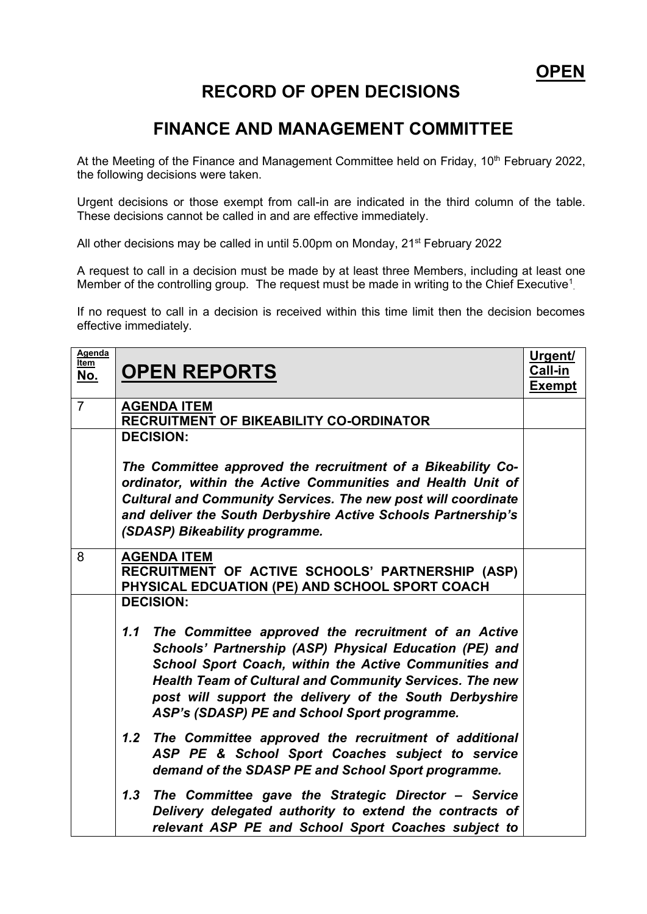## **RECORD OF OPEN DECISIONS**

## **FINANCE AND MANAGEMENT COMMITTEE**

At the Meeting of the Finance and Management Committee held on Friday,  $10<sup>th</sup>$  February 2022, the following decisions were taken.

Urgent decisions or those exempt from call-in are indicated in the third column of the table. These decisions cannot be called in and are effective immediately.

All other decisions may be called in until 5.00pm on Monday, 21<sup>st</sup> February 2022

A request to call in a decision must be made by at least three Members, including at least one Member of the controlling group. The request must be made in writing to the Chief Executive<sup>1</sup>.

If no request to call in a decision is received within this time limit then the decision becomes effective immediately.

| Agenda<br>Item<br>No. | <b>OPEN REPORTS</b>                                                                                                                                                                                                                                                                                                                                       | Urgent/<br>Call-in<br><b>Exempt</b> |
|-----------------------|-----------------------------------------------------------------------------------------------------------------------------------------------------------------------------------------------------------------------------------------------------------------------------------------------------------------------------------------------------------|-------------------------------------|
| $\overline{7}$        | <b>AGENDA ITEM</b><br><b>RECRUITMENT OF BIKEABILITY CO-ORDINATOR</b>                                                                                                                                                                                                                                                                                      |                                     |
|                       | <b>DECISION:</b>                                                                                                                                                                                                                                                                                                                                          |                                     |
|                       | The Committee approved the recruitment of a Bikeability Co-<br>ordinator, within the Active Communities and Health Unit of<br><b>Cultural and Community Services. The new post will coordinate</b><br>and deliver the South Derbyshire Active Schools Partnership's<br>(SDASP) Bikeability programme.                                                     |                                     |
| 8                     | <b>AGENDA ITEM</b><br>RECRUITMENT OF ACTIVE SCHOOLS' PARTNERSHIP (ASP)<br>PHYSICAL EDCUATION (PE) AND SCHOOL SPORT COACH                                                                                                                                                                                                                                  |                                     |
|                       | <b>DECISION:</b>                                                                                                                                                                                                                                                                                                                                          |                                     |
|                       | The Committee approved the recruitment of an Active<br>1.1<br>Schools' Partnership (ASP) Physical Education (PE) and<br>School Sport Coach, within the Active Communities and<br><b>Health Team of Cultural and Community Services. The new</b><br>post will support the delivery of the South Derbyshire<br>ASP's (SDASP) PE and School Sport programme. |                                     |
|                       | The Committee approved the recruitment of additional<br>1.2<br>ASP PE & School Sport Coaches subject to service<br>demand of the SDASP PE and School Sport programme.                                                                                                                                                                                     |                                     |
|                       | 1.3<br>The Committee gave the Strategic Director - Service<br>Delivery delegated authority to extend the contracts of<br>relevant ASP PE and School Sport Coaches subject to                                                                                                                                                                              |                                     |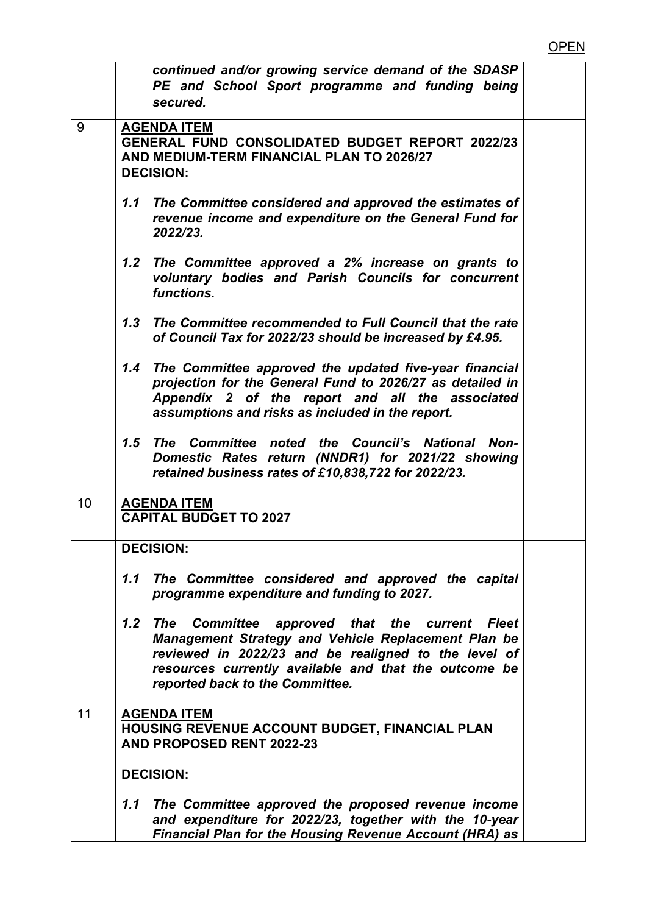## **OPEN**

|    | continued and/or growing service demand of the SDASP                                                                                                                                                                                                                                |  |
|----|-------------------------------------------------------------------------------------------------------------------------------------------------------------------------------------------------------------------------------------------------------------------------------------|--|
|    | PE and School Sport programme and funding being<br>secured.                                                                                                                                                                                                                         |  |
|    |                                                                                                                                                                                                                                                                                     |  |
| 9  | <b>AGENDA ITEM</b><br><b>GENERAL FUND CONSOLIDATED BUDGET REPORT 2022/23</b><br>AND MEDIUM-TERM FINANCIAL PLAN TO 2026/27                                                                                                                                                           |  |
|    | <b>DECISION:</b>                                                                                                                                                                                                                                                                    |  |
|    | The Committee considered and approved the estimates of<br>1.1<br>revenue income and expenditure on the General Fund for<br>2022/23.                                                                                                                                                 |  |
|    | 1.2<br>The Committee approved a 2% increase on grants to<br>voluntary bodies and Parish Councils for concurrent<br>functions.                                                                                                                                                       |  |
|    | 1,3<br>The Committee recommended to Full Council that the rate<br>of Council Tax for 2022/23 should be increased by £4.95.                                                                                                                                                          |  |
|    | 1.4<br>The Committee approved the updated five-year financial<br>projection for the General Fund to 2026/27 as detailed in<br>Appendix 2 of the report and all the associated<br>assumptions and risks as included in the report.                                                   |  |
|    | 1.5<br>The Committee noted the Council's National Non-<br>Domestic Rates return (NNDR1) for 2021/22 showing<br>retained business rates of £10,838,722 for 2022/23.                                                                                                                  |  |
| 10 | <b>AGENDA ITEM</b><br><b>CAPITAL BUDGET TO 2027</b>                                                                                                                                                                                                                                 |  |
|    | <b>DECISION:</b>                                                                                                                                                                                                                                                                    |  |
|    | The Committee considered and approved the capital<br>1.1<br>programme expenditure and funding to 2027.                                                                                                                                                                              |  |
|    | 1.2 <sub>2</sub><br>The Committee approved that the current Fleet<br><b>Management Strategy and Vehicle Replacement Plan be</b><br>reviewed in 2022/23 and be realigned to the level of<br>resources currently available and that the outcome be<br>reported back to the Committee. |  |
| 11 | <b>AGENDA ITEM</b><br>HOUSING REVENUE ACCOUNT BUDGET, FINANCIAL PLAN<br><b>AND PROPOSED RENT 2022-23</b>                                                                                                                                                                            |  |
|    | <b>DECISION:</b>                                                                                                                                                                                                                                                                    |  |
|    | The Committee approved the proposed revenue income<br>1.1<br>and expenditure for 2022/23, together with the 10-year<br><b>Financial Plan for the Housing Revenue Account (HRA) as</b>                                                                                               |  |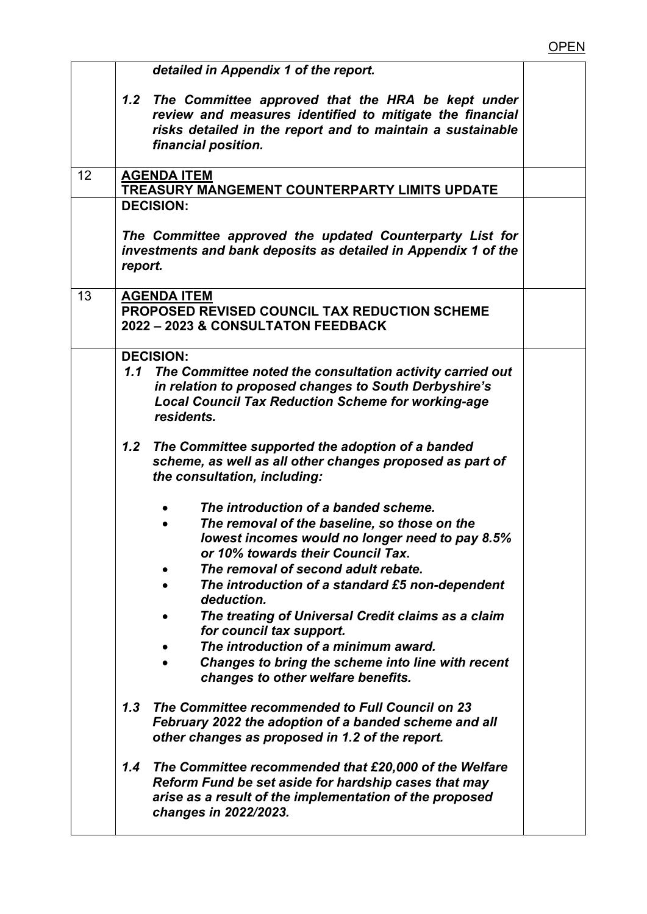|    | detailed in Appendix 1 of the report.                                                                                                                                                                                                                                                                                                                                                                                                                                                                                                                                                                                                                                                                                                                  |  |
|----|--------------------------------------------------------------------------------------------------------------------------------------------------------------------------------------------------------------------------------------------------------------------------------------------------------------------------------------------------------------------------------------------------------------------------------------------------------------------------------------------------------------------------------------------------------------------------------------------------------------------------------------------------------------------------------------------------------------------------------------------------------|--|
|    | The Committee approved that the HRA be kept under<br>1.2<br>review and measures identified to mitigate the financial<br>risks detailed in the report and to maintain a sustainable<br>financial position.                                                                                                                                                                                                                                                                                                                                                                                                                                                                                                                                              |  |
| 12 | <b>AGENDA ITEM</b><br>TREASURY MANGEMENT COUNTERPARTY LIMITS UPDATE                                                                                                                                                                                                                                                                                                                                                                                                                                                                                                                                                                                                                                                                                    |  |
|    | <b>DECISION:</b>                                                                                                                                                                                                                                                                                                                                                                                                                                                                                                                                                                                                                                                                                                                                       |  |
|    | The Committee approved the updated Counterparty List for<br>investments and bank deposits as detailed in Appendix 1 of the<br>report.                                                                                                                                                                                                                                                                                                                                                                                                                                                                                                                                                                                                                  |  |
| 13 | <b>AGENDA ITEM</b><br>PROPOSED REVISED COUNCIL TAX REDUCTION SCHEME<br>2022 - 2023 & CONSULTATON FEEDBACK                                                                                                                                                                                                                                                                                                                                                                                                                                                                                                                                                                                                                                              |  |
|    | <b>DECISION:</b><br>1.1 The Committee noted the consultation activity carried out<br>in relation to proposed changes to South Derbyshire's<br><b>Local Council Tax Reduction Scheme for working-age</b><br>residents.<br>1.2<br>The Committee supported the adoption of a banded<br>scheme, as well as all other changes proposed as part of<br>the consultation, including:<br>The introduction of a banded scheme.<br>The removal of the baseline, so those on the<br>lowest incomes would no longer need to pay 8.5%<br>or 10% towards their Council Tax.<br>The removal of second adult rebate.<br>The introduction of a standard £5 non-dependent<br>deduction.<br>The treating of Universal Credit claims as a claim<br>for council tax support. |  |
|    | The introduction of a minimum award.<br>Changes to bring the scheme into line with recent<br>changes to other welfare benefits.<br>1.3<br>The Committee recommended to Full Council on 23                                                                                                                                                                                                                                                                                                                                                                                                                                                                                                                                                              |  |
|    | February 2022 the adoption of a banded scheme and all<br>other changes as proposed in 1.2 of the report.                                                                                                                                                                                                                                                                                                                                                                                                                                                                                                                                                                                                                                               |  |
|    | The Committee recommended that £20,000 of the Welfare<br>1.4<br>Reform Fund be set aside for hardship cases that may<br>arise as a result of the implementation of the proposed<br>changes in 2022/2023.                                                                                                                                                                                                                                                                                                                                                                                                                                                                                                                                               |  |